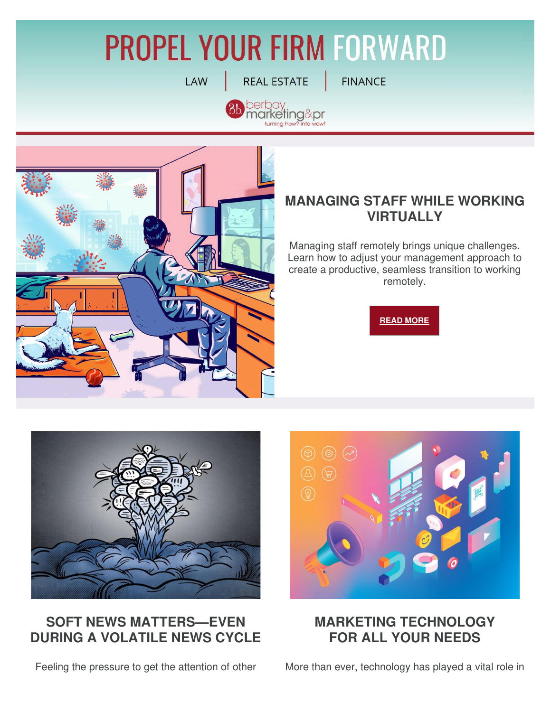# **PROPEL YOUR FIRM FORWARD**

**LAW** 

**REAL ESTATE** 

berbay<br>marketing&pr ning how'

**FINANCE** 



# **MANAGING STAFF WHILE WORKING VIRTUALLY**

Managing staff remotely brings unique challenges. Learn how to adjust your management approach to create a productive, seamless transition to working remotely.





### **SOFT NEWS MATTERS—EVEN DURING A VOLATILE NEWS CYCLE**

Feeling the pressure to get the attention of other



#### **MARKETING TECHNOLOGY FOR ALL YOUR NEEDS**

More than ever, technology has played a vital role in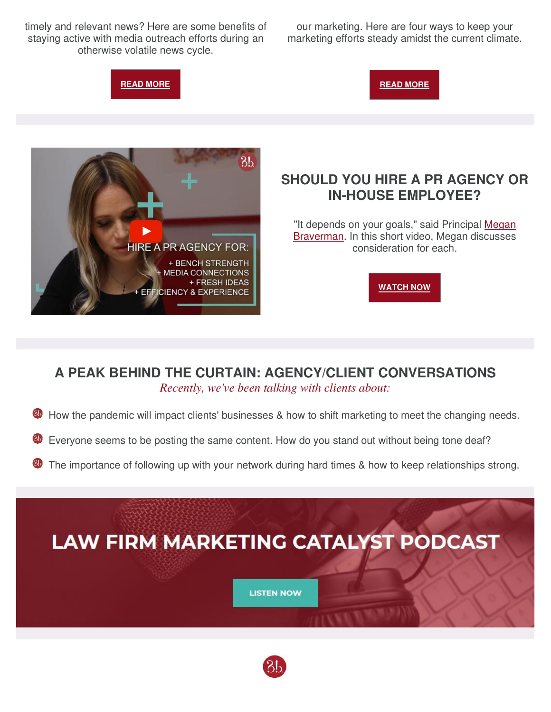timely and relevant news? Here are some benefits of staying active with media outreach efforts during an otherwise volatile news cycle.

our marketing. Here are four ways to keep your marketing efforts steady amidst the current climate.

**[READ MORE](http://b.marketingautomation.services/click/308475567/bit.ly/?p=nboEGFVo77zru5o_p6EVXuZUNB9hnBOIcGRbDd9vZ9hrsyoZUN0hI3KBljR5MNlTTQltJh_9nY-GDJmBV6ak_V8hFE-t7NMzC7vbAjiYFlvCKlW7-Yzf0aNm-UibunEZfteyW4VZZ74fPtJiSK1v93pMpr3CU3J5ItKfwH0lmCaOwFt_y-QXCQfDA8-lReFCqH6ytlGjMHhD6NCNTSckJqgR8LrTp6WzETEUtDKjjPM=)** 





## **SHOULD YOU HIRE A PR AGENCY OR IN-HOUSE EMPLOYEE?**

"It depends on your goals," said Principal Megan [Braverman.](http://b.marketingautomation.services/click/308475567/bit.ly/?p=IQzDI5-q5uBPyuqS2nx1avXIoc2bkPz2VDW2hNfHQLDb5Rh0782ED2cHhNJVdCK3-1fbejKh19CpeagCcDI0lQAB3PaIF99ahUBXWE_sYS1FviuVamNkvxKkaTaF3v1PyeHsfLx-ndatA3O2M59niUgWkUAWjH4tozIALnePfp6L_jejBX6tyl0kmv5Yw9K_KWs3pRw3-PiuJjVXGpGD0WL4vIYHglbloNL7WN39fNY=) In this short video, Megan discusses consideration for each.



#### **A PEAK BEHIND THE CURTAIN: AGENCY/CLIENT CONVERSATIONS** *Recently, we've been talking with clients about:*

- How the pandemic will impact clients' businesses & how to shift marketing to meet the changing needs.
- Everyone seems to be posting the same content. How do you stand out without being tone deaf?
- The importance of following up with your network during hard times & how to keep relationships strong.